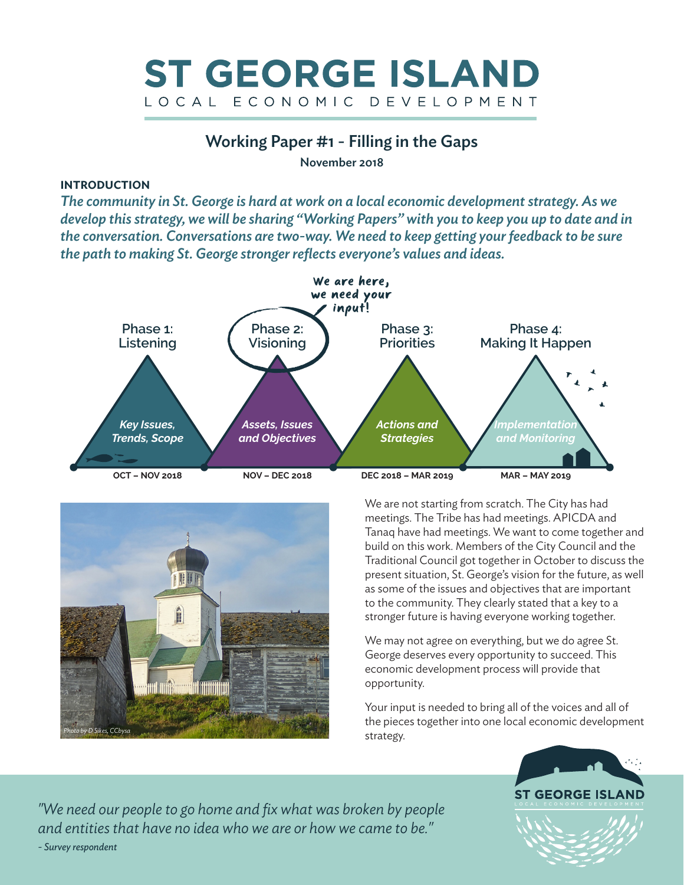

## Working Paper #1 - Filling in the Gaps

November 2018

## **INTRODUCTION**

*The community in St. George is hard at work on a local economic development strategy. As we develop this strategy, we will be sharing "Working Papers" with you to keep you up to date and in the conversation. Conversations are two-way. We need to keep getting your feedback to be sure the path to making St. George stronger reflects everyone's values and ideas.*





We are not starting from scratch. The City has had meetings. The Tribe has had meetings. APICDA and Tanaq have had meetings. We want to come together and build on this work. Members of the City Council and the Traditional Council got together in October to discuss the present situation, St. George's vision for the future, as well as some of the issues and objectives that are important to the community. They clearly stated that a key to a stronger future is having everyone working together.

We may not agree on everything, but we do agree St. George deserves every opportunity to succeed. This economic development process will provide that opportunity.

Your input is needed to bring all of the voices and all of the pieces together into one local economic development strategy.



*"We need our people to go home and fix what was broken by people and entities that have no idea who we are or how we came to be." - Survey respondent*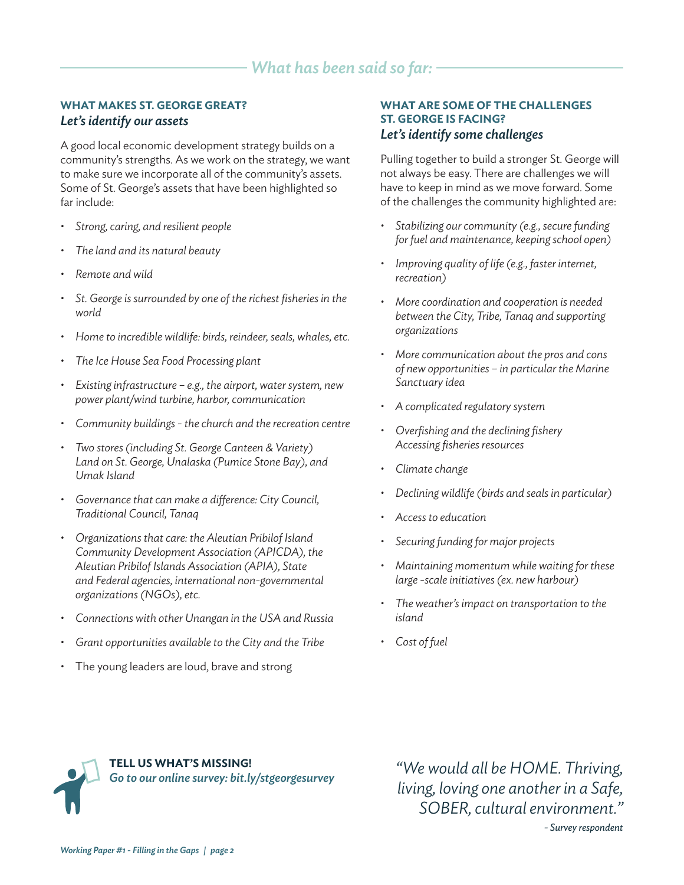## **WHAT MAKES ST. GEORGE GREAT?** *Let's identify our assets*

A good local economic development strategy builds on a community's strengths. As we work on the strategy, we want to make sure we incorporate all of the community's assets. Some of St. George's assets that have been highlighted so far include:

- *Strong, caring, and resilient people*
- *The land and its natural beauty*
- *Remote and wild*
- *St. George is surrounded by one of the richest fisheries in the world*
- *Home to incredible wildlife: birds, reindeer, seals, whales, etc.*
- *The Ice House Sea Food Processing plant*
- *Existing infrastructure e.g., the airport, water system, new power plant/wind turbine, harbor, communication*
- *Community buildings the church and the recreation centre*
- *Two stores (including St. George Canteen & Variety) Land on St. George, Unalaska (Pumice Stone Bay), and Umak Island*
- *Governance that can make a difference: City Council, Traditional Council, Tanaq*
- *Organizations that care: the Aleutian Pribilof Island Community Development Association (APICDA), the Aleutian Pribilof Islands Association (APIA), State and Federal agencies, international non-governmental organizations (NGOs), etc.*
- *Connections with other Unangan in the USA and Russia*
- *Grant opportunities available to the City and the Tribe*
- The young leaders are loud, brave and strong

### **WHAT ARE SOME OF THE CHALLENGES ST. GEORGE IS FACING?** *Let's identify some challenges*

Pulling together to build a stronger St. George will not always be easy. There are challenges we will have to keep in mind as we move forward. Some of the challenges the community highlighted are:

- *Stabilizing our community (e.g., secure funding for fuel and maintenance, keeping school open)*
- *Improving quality of life (e.g., faster internet, recreation)*
- *More coordination and cooperation is needed between the City, Tribe, Tanaq and supporting organizations*
- *More communication about the pros and cons of new opportunities – in particular the Marine Sanctuary idea*
- *A complicated regulatory system*
- *Overfishing and the declining fishery Accessing fisheries resources*
- *Climate change*
- *Declining wildlife (birds and seals in particular)*
- *Access to education*
- *Securing funding for major projects*
- *Maintaining momentum while waiting for these large -scale initiatives (ex. new harbour)*
- *The weather's impact on transportation to the island*
- *Cost of fuel*



*"We would all be HOME. Thriving, living, loving one another in a Safe, SOBER, cultural environment."* 

*- Survey respondent*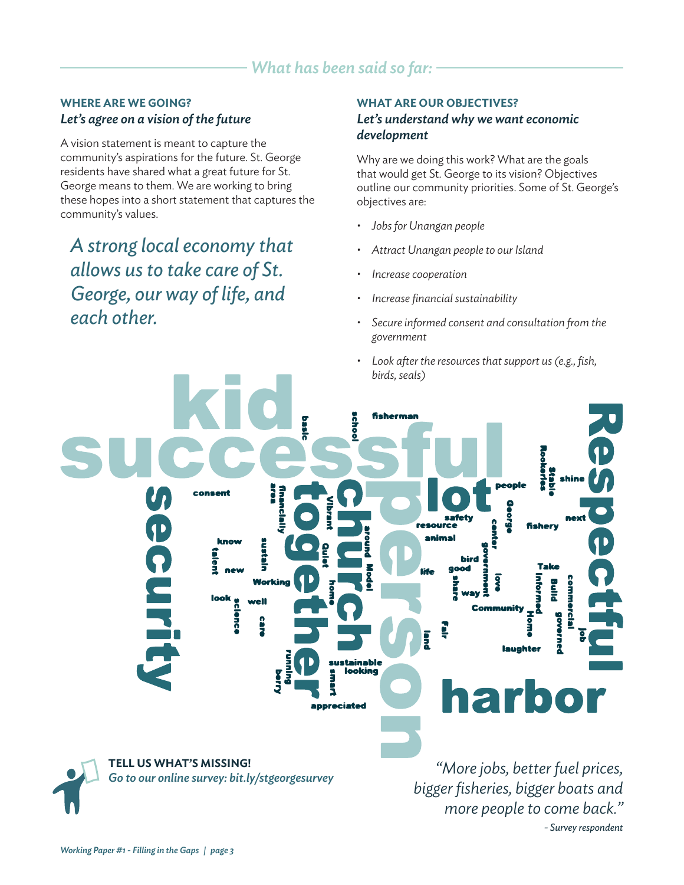# *What has been said so far:*

### **WHERE ARE WE GOING?** *Let's agree on a vision of the future*

A vision statement is meant to capture the community's aspirations for the future. St. George residents have shared what a great future for St. George means to them. We are working to bring these hopes into a short statement that captures the community's values.

*A strong local economy that allows us to take care of St. George, our way of life, and each other.*

#### **WHAT ARE OUR OBJECTIVES?**

## *Let's understand why we want economic development*

Why are we doing this work? What are the goals that would get St. George to its vision? Objectives outline our community priorities. Some of St. George's objectives are:

- *Jobs for Unangan people*
- *Attract Unangan people to our Island*
- *Increase cooperation*
- *Increase financial sustainability*
- *Secure informed consent and consultation from the government*
- *Look after the resources that support us (e.g., fish, birds, seals)*